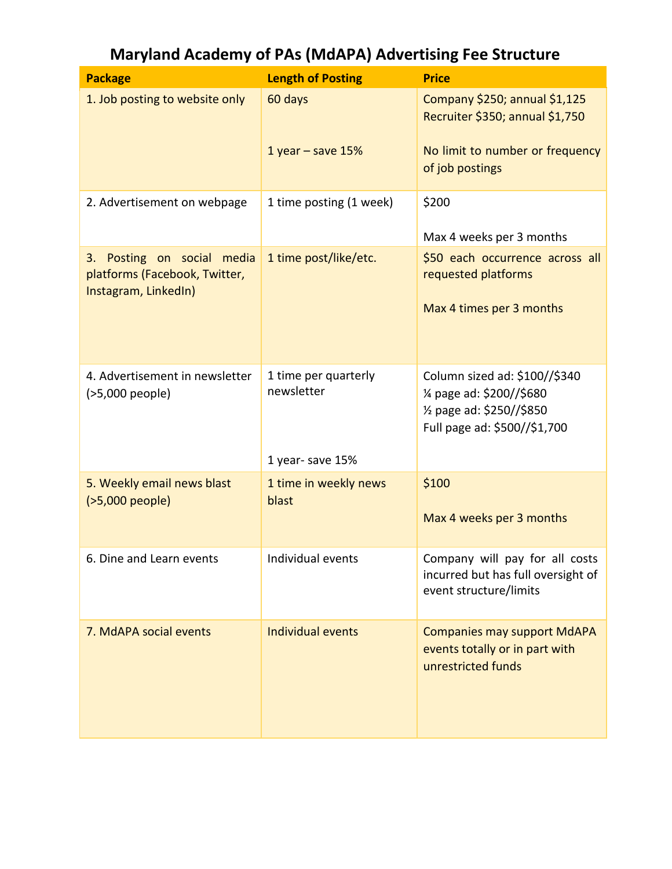| <b>Package</b>                                                                      | <b>Length of Posting</b>                              | <b>Price</b>                                                                                                                        |
|-------------------------------------------------------------------------------------|-------------------------------------------------------|-------------------------------------------------------------------------------------------------------------------------------------|
| 1. Job posting to website only                                                      | 60 days                                               | Company \$250; annual \$1,125<br>Recruiter \$350; annual \$1,750                                                                    |
|                                                                                     | 1 year $-$ save 15%                                   | No limit to number or frequency<br>of job postings                                                                                  |
| 2. Advertisement on webpage                                                         | 1 time posting (1 week)                               | \$200                                                                                                                               |
| 3. Posting on social media<br>platforms (Facebook, Twitter,<br>Instagram, LinkedIn) | 1 time post/like/etc.                                 | Max 4 weeks per 3 months<br>\$50 each occurrence across all<br>requested platforms<br>Max 4 times per 3 months                      |
| 4. Advertisement in newsletter<br>(>5,000 people)                                   | 1 time per quarterly<br>newsletter<br>1 year-save 15% | Column sized ad: \$100//\$340<br>1⁄4 page ad: \$200//\$680<br>1/ <sub>2</sub> page ad: \$250//\$850<br>Full page ad: \$500//\$1,700 |
| 5. Weekly email news blast<br>(>5,000 people)                                       | 1 time in weekly news<br>blast                        | \$100<br>Max 4 weeks per 3 months                                                                                                   |
| 6. Dine and Learn events                                                            | Individual events                                     | Company will pay for all costs<br>incurred but has full oversight of<br>event structure/limits                                      |
| 7. MdAPA social events                                                              | <b>Individual events</b>                              | <b>Companies may support MdAPA</b><br>events totally or in part with<br>unrestricted funds                                          |

## **Maryland Academy of PAs (MdAPA) Advertising Fee Structure**